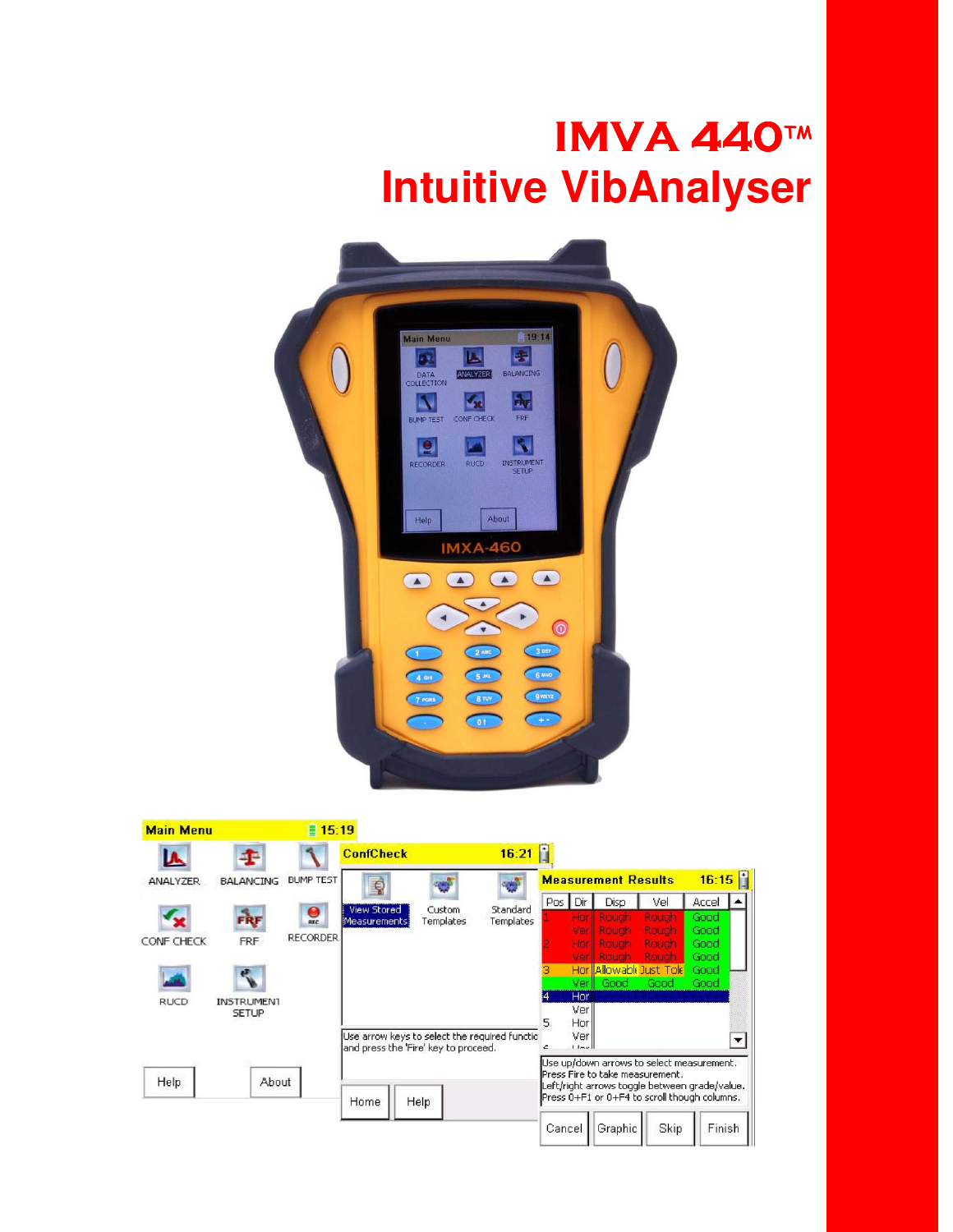## **IMVA 440TM Intuitive VibAnalyser**



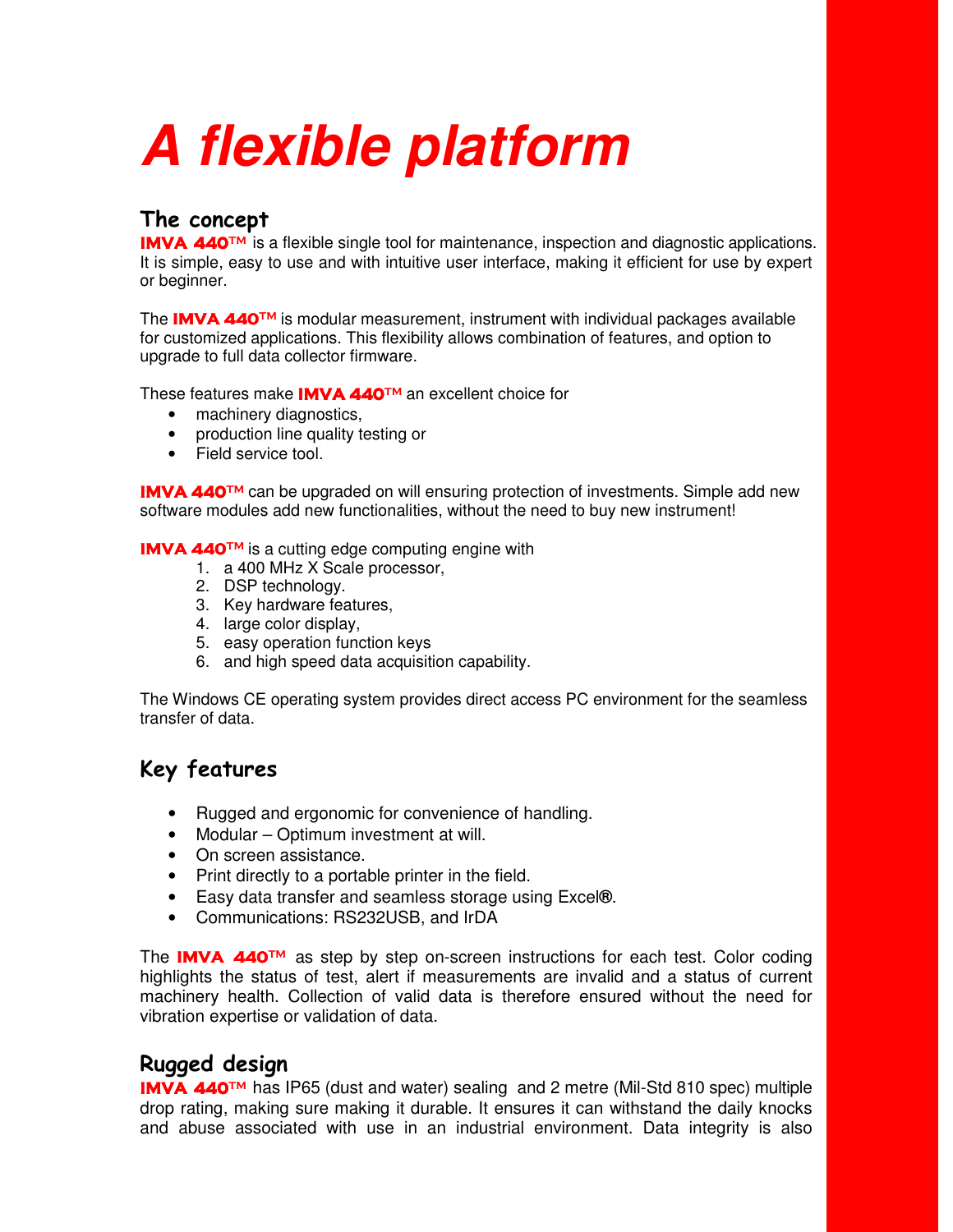# **A flexible platform**

## The concept

**IMVA 440<sup>TM</sup>** is a flexible single tool for maintenance, inspection and diagnostic applications. It is simple, easy to use and with intuitive user interface, making it efficient for use by expert or beginner.

The **IMVA 440<sup>TM</sup>** is modular measurement, instrument with individual packages available for customized applications. This flexibility allows combination of features, and option to upgrade to full data collector firmware.

These features make IMVA 440™ an excellent choice for

- machinery diagnostics.
- production line quality testing or
- Field service tool.

**IMVA 440**<sup>TM</sup> can be upgraded on will ensuring protection of investments. Simple add new software modules add new functionalities, without the need to buy new instrument!

**IMVA 440™** is a cutting edge computing engine with

- 1. a 400 MHz X Scale processor,
- 2. DSP technology.
- 3. Key hardware features,
- 4. large color display,
- 5. easy operation function keys
- 6. and high speed data acquisition capability.

The Windows CE operating system provides direct access PC environment for the seamless transfer of data.

## Key features

- Rugged and ergonomic for convenience of handling.
- Modular Optimum investment at will.
- On screen assistance.
- Print directly to a portable printer in the field.
- Easy data transfer and seamless storage using Excel**®**.
- Communications: RS232USB, and IrDA

The **IMVA 440**<sup>TM</sup> as step by step on-screen instructions for each test. Color coding highlights the status of test, alert if measurements are invalid and a status of current machinery health. Collection of valid data is therefore ensured without the need for vibration expertise or validation of data.

## Rugged design

**IMVA 440<sup>TM</sup>** has IP65 (dust and water) sealing and 2 metre (Mil-Std 810 spec) multiple drop rating, making sure making it durable. It ensures it can withstand the daily knocks and abuse associated with use in an industrial environment. Data integrity is also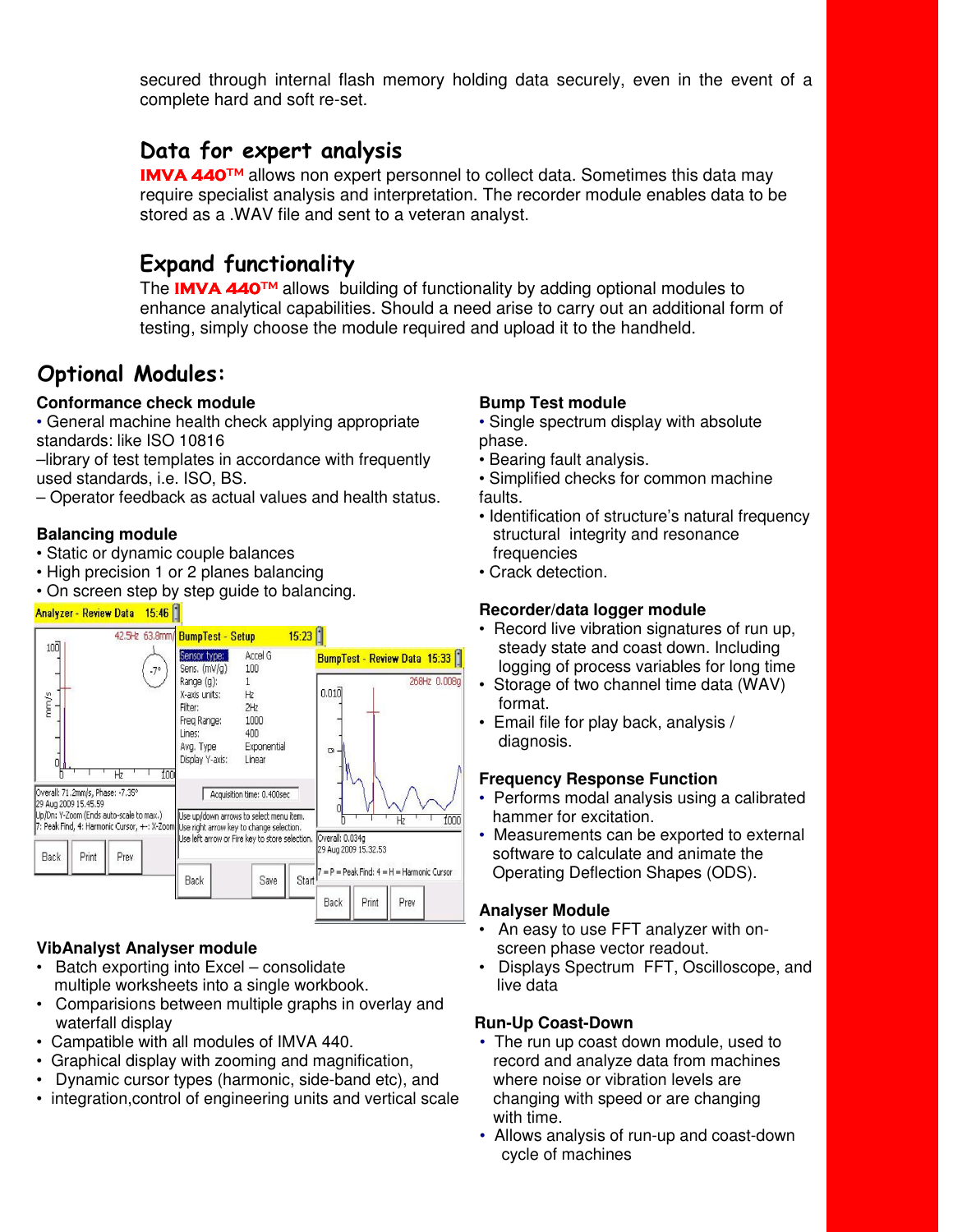secured through internal flash memory holding data securely, even in the event of a complete hard and soft re-set.

## Data for expert analysis

**IMVA 440™** allows non expert personnel to collect data. Sometimes this data may require specialist analysis and interpretation. The recorder module enables data to be stored as a .WAV file and sent to a veteran analyst.

## Expand functionality

The IMVA 440™ allows building of functionality by adding optional modules to enhance analytical capabilities. Should a need arise to carry out an additional form of testing, simply choose the module required and upload it to the handheld.

## Optional Modules:

#### **Conformance check module**

• General machine health check applying appropriate standards: like ISO 10816

–library of test templates in accordance with frequently used standards, i.e. ISO, BS.

– Operator feedback as actual values and health status.

#### **Balancing module**

- Static or dynamic couple balances
- High precision 1 or 2 planes balancing
- On screen step by step guide to balancing.

#### Analyzer - Review Data 15:46



#### **VibAnalyst Analyser module**

- Batch exporting into Excel consolidate multiple worksheets into a single workbook.
- Comparisions between multiple graphs in overlay and waterfall display
- Campatible with all modules of IMVA 440.
- Graphical display with zooming and magnification,
- Dynamic cursor types (harmonic, side-band etc), and
- integration,control of engineering units and vertical scale

#### **Bump Test module**

- Single spectrum display with absolute phase.
- Bearing fault analysis.
- Simplified checks for common machine faults.
- Identification of structure's natural frequency structural integrity and resonance frequencies
- Crack detection.

#### **Recorder/data logger module**

- Record live vibration signatures of run up, steady state and coast down. Including logging of process variables for long time
- Storage of two channel time data (WAV) format.
- Email file for play back, analysis / diagnosis.

#### **Frequency Response Function**

- Performs modal analysis using a calibrated hammer for excitation.
- Measurements can be exported to external software to calculate and animate the Operating Deflection Shapes (ODS).

#### **Analyser Module**

- An easy to use FFT analyzer with on screen phase vector readout.
- Displays Spectrum FFT, Oscilloscope, and live data

#### **Run-Up Coast-Down**

- The run up coast down module, used to record and analyze data from machines where noise or vibration levels are changing with speed or are changing with time.
- Allows analysis of run-up and coast-down cycle of machines